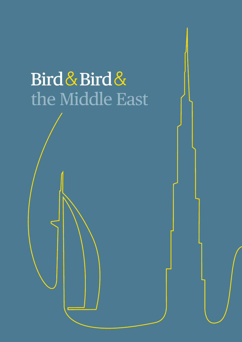# Bird & Bird & the Middle East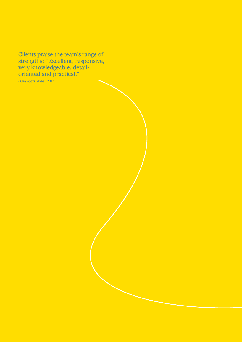Clients praise the team's range of strengths: "Excellent, responsive, very knowledgeable, detailoriented and practical."

- Chambers Global, 2017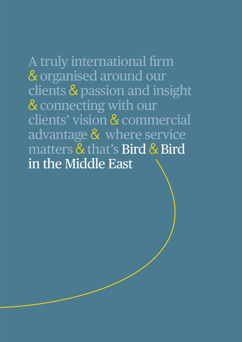A truly international firm & organised around our clients & passion and insight & connecting with our clients' vision & commercial advantage & where service matters & that's Bird & Bird in the Middle East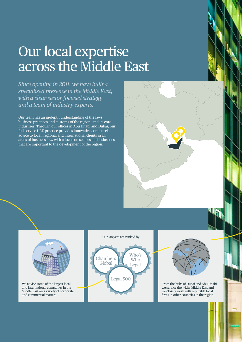# Our local expertise across the Middle East

*Since opening in 2011, we have built a specialised presence in the Middle East, with a clear sector focused strategy and a team of industry experts.*

Our team has an in-depth understanding of the laws, business practices and customs of the region, and its core industries. Through our offices in Abu Dhabi and Dubai, our full-service UAE practice provides innovative commercial advice to local, regional and international clients in all areas of business law, with a focus on sectors and industries that are important to the development of the region.





We advise some of the largest local and international companies in the Middle East on a variety of corporate and commercial matters

#### Our lawyers are ranked by





From the hubs of Dubai and Abu Dhabi we service the wider Middle East and we closely work with reputable local firms in other countries in the region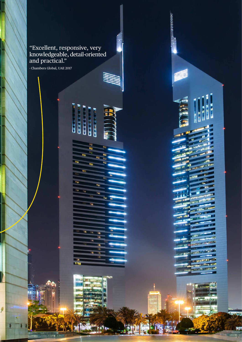#### "Excellent, responsive, very knowledgeable, detail-oriented and practical."

ø.

 $\begin{array}{c} \bullet \\ \bullet \\ \bullet \\ \bullet \end{array} \begin{array}{c} \bullet \\ \bullet \\ \bullet \\ \bullet \end{array}$ 

li<br>Se

**TEPPLE** 

- Chambers Global, UAE 2017

9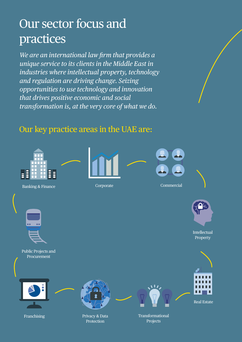### Our sector focus and practices

*We are an international law firm that provides a unique service to its clients in the Middle East in industries where intellectual property, technology and regulation are driving change. Seizing opportunities to use technology and innovation that drives positive economic and social transformation is, at the very core of what we do.*

### Our key practice areas in the UAE are:

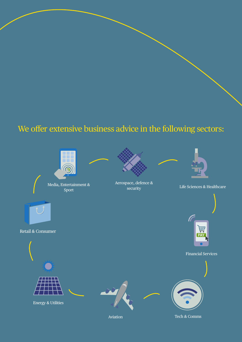### We offer extensive business advice in the following sectors:



Sport



Aerospace, defence & <br>security between the Sciences & Healthcare and Media and Media and Aerospace, and Media and Media and Media an<br>Aerospace, defence & Media and Media and Media and Media and Media and Media and Media an



田 **DA** 



Retail & Consumer



Energy & Utilities





**A** 

Aviation Tech & Comms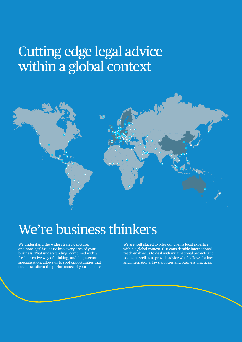### Cutting edge legal advice within a global context



# We're business thinkers

We understand the wider strategic picture, and how legal issues tie into every area of your business. That understanding, combined with a fresh, creative way of thinking, and deep sector specialisation, allows us to spot opportunities that could transform the performance of your business. We are well placed to offer our clients local expertise within a global context. Our considerable international reach enables us to deal with multinational projects and issues, as well as to provide advice which allows for local and international laws, policies and business practices.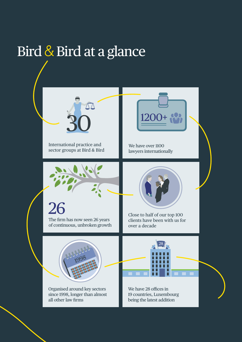# Bird & Bird at a glance

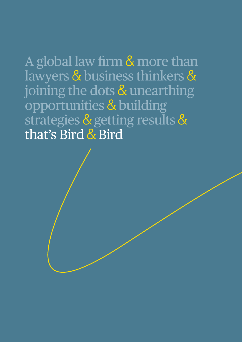A global law firm & more than lawyers & business thinkers & joining the dots & unearthing opportunities & building strategies & getting results & that's Bird & Bird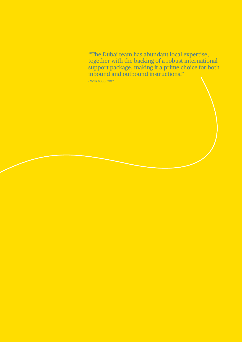"The Dubai team has abundant local expertise, together with the backing of a robust international support package, making it a prime choice for both inbound and outbound instructions."

- WTR 1000, 2017